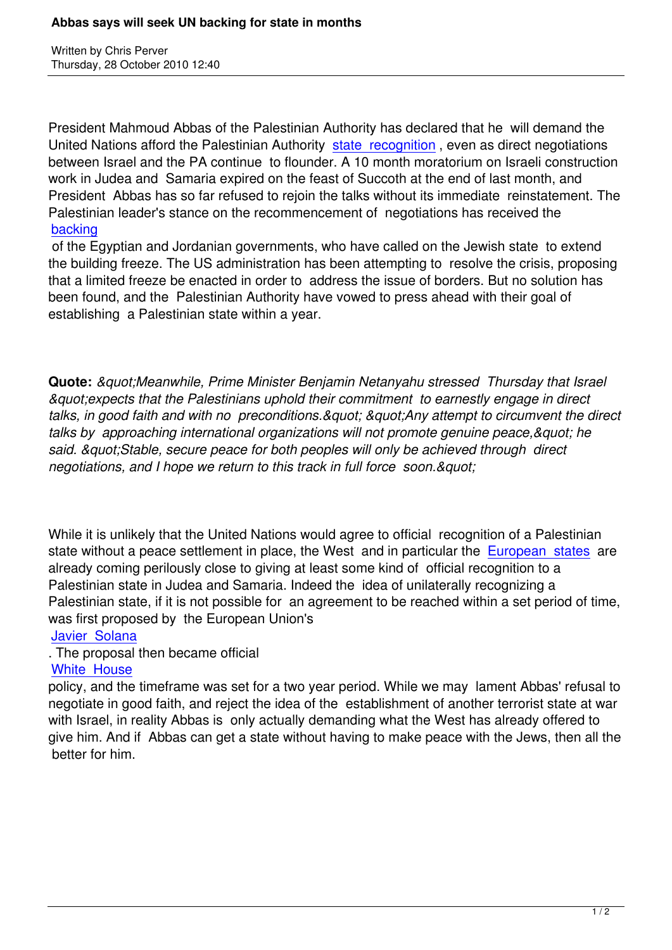Written by Christian by Christian by Christian by Christian by Christian by Christian by Chris Perus

President Mahmoud Abbas of the Palestinian Authority has declared that he will demand the United Nations afford the Palestinian Authority state recognition , even as direct negotiations between Israel and the PA continue to flounder. A 10 month moratorium on Israeli construction work in Judea and Samaria expired on the feast of Succoth at the end of last month, and President Abbas has so far refused to rejoin th[e talks without its](http://www.ynetnews.com/articles/0,7340,L-3976494,00.html) immediate reinstatement. The Palestinian leader's stance on the recommencement of negotiations has received the backing

 of the Egyptian and Jordanian governments, who have called on the Jewish state to extend the building freeze. The US administration has been attempting to resolve the crisis, proposing [that a lim](http://www.dailystar.com.lb/article.asp?edition_id=10&categ_id=2&article_id=119946#axzz13g9cxiJV)ited freeze be enacted in order to address the issue of borders. But no solution has been found, and the Palestinian Authority have vowed to press ahead with their goal of establishing a Palestinian state within a year.

**Quote:** *"Meanwhile, Prime Minister Benjamin Netanyahu stressed Thursday that Israel "expects that the Palestinians uphold their commitment to earnestly engage in direct* talks, in good faith and with no preconditions." "Any attempt to circumvent the direct talks by approaching international organizations will not promote genuine peace, & quot; he said. & *auot: Stable, secure peace for both peoples will only be achieved through direct negotiations, and I hope we return to this track in full force soon. & quot:* 

While it is unlikely that the United Nations would agree to official recognition of a Palestinian state without a peace settlement in place, the West and in particular the European states are already coming perilously close to giving at least some kind of official recognition to a Palestinian state in Judea and Samaria. Indeed the idea of unilaterally recognizing a Palestinian state, if it is not possible for an agreement to be reached with[in a set period of](https://www.prophecynews.co.uk/index.php?option=com_content&id=1420/2/) time, was first proposed by the European Union's

# Javier Solana

# . The proposal then became official

# White House

[policy, and the](https://www.prophecynews.co.uk/index.php?option=com_content&id=1261/2/) timeframe was set for a two year period. While we may lament Abbas' refusal to negotiate in good faith, and reject the idea of the establishment of another terrorist state at war [with Israel, in r](https://www.prophecynews.co.uk/index.php?option=com_content&id=1213/2/)eality Abbas is only actually demanding what the West has already offered to give him. And if Abbas can get a state without having to make peace with the Jews, then all the better for him.